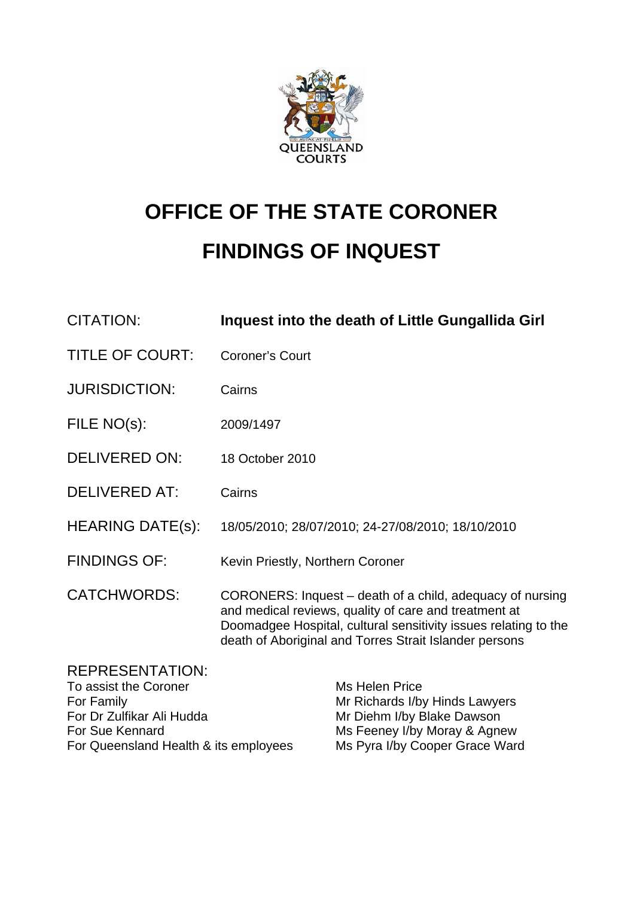

# **OFFICE OF THE STATE CORONER FINDINGS OF INQUEST**

| <b>CITATION:</b>                                                                                                                                       | Inquest into the death of Little Gungallida Girl                                                                                                                                                                                                |                                                                                                                                                  |  |  |  |
|--------------------------------------------------------------------------------------------------------------------------------------------------------|-------------------------------------------------------------------------------------------------------------------------------------------------------------------------------------------------------------------------------------------------|--------------------------------------------------------------------------------------------------------------------------------------------------|--|--|--|
| <b>TITLE OF COURT:</b>                                                                                                                                 | <b>Coroner's Court</b>                                                                                                                                                                                                                          |                                                                                                                                                  |  |  |  |
| <b>JURISDICTION:</b>                                                                                                                                   | Cairns                                                                                                                                                                                                                                          |                                                                                                                                                  |  |  |  |
| FILE NO(s):                                                                                                                                            | 2009/1497                                                                                                                                                                                                                                       |                                                                                                                                                  |  |  |  |
| <b>DELIVERED ON:</b>                                                                                                                                   | 18 October 2010                                                                                                                                                                                                                                 |                                                                                                                                                  |  |  |  |
| <b>DELIVERED AT:</b>                                                                                                                                   | Cairns                                                                                                                                                                                                                                          |                                                                                                                                                  |  |  |  |
| <b>HEARING DATE(s):</b>                                                                                                                                | 18/05/2010; 28/07/2010; 24-27/08/2010; 18/10/2010                                                                                                                                                                                               |                                                                                                                                                  |  |  |  |
| <b>FINDINGS OF:</b>                                                                                                                                    | Kevin Priestly, Northern Coroner                                                                                                                                                                                                                |                                                                                                                                                  |  |  |  |
| <b>CATCHWORDS:</b>                                                                                                                                     | CORONERS: Inquest – death of a child, adequacy of nursing<br>and medical reviews, quality of care and treatment at<br>Doomadgee Hospital, cultural sensitivity issues relating to the<br>death of Aboriginal and Torres Strait Islander persons |                                                                                                                                                  |  |  |  |
| <b>REPRESENTATION:</b><br>To assist the Coroner<br>For Family<br>For Dr Zulfikar Ali Hudda<br>For Sue Kennard<br>For Queensland Health & its employees |                                                                                                                                                                                                                                                 | Ms Helen Price<br>Mr Richards I/by Hinds Lawyers<br>Mr Diehm I/by Blake Dawson<br>Ms Feeney I/by Moray & Agnew<br>Ms Pyra I/by Cooper Grace Ward |  |  |  |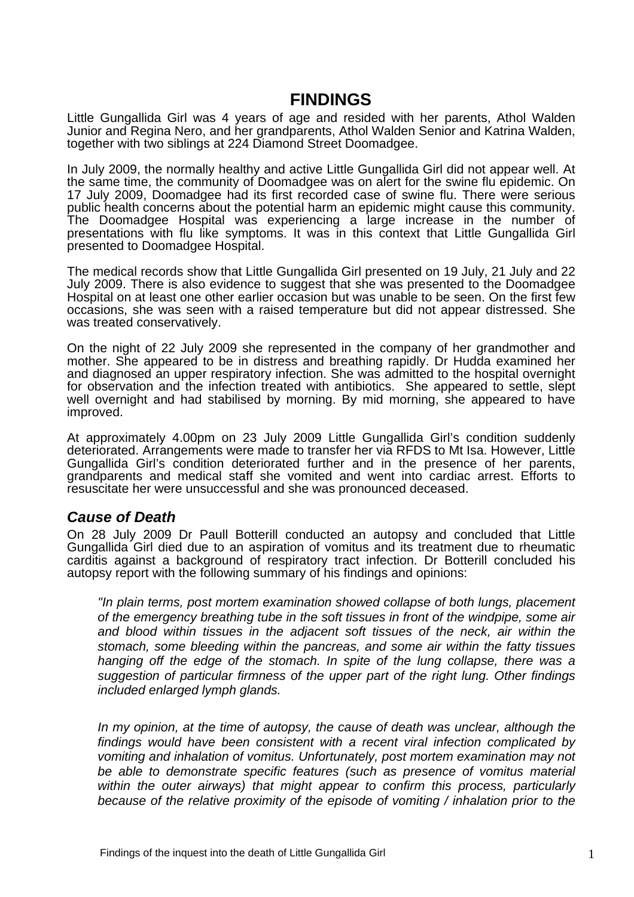## **FINDINGS**

Little Gungallida Girl was 4 years of age and resided with her parents, Athol Walden Junior and Regina Nero, and her grandparents, Athol Walden Senior and Katrina Walden, together with two siblings at 224 Diamond Street Doomadgee.

In July 2009, the normally healthy and active Little Gungallida Girl did not appear well. At the same time, the community of Doomadgee was on alert for the swine flu epidemic. On 17 July 2009, Doomadgee had its first recorded case of swine flu. There were serious public health concerns about the potential harm an epidemic might cause this community. The Doomadgee Hospital was experiencing a large increase in the number of presentations with flu like symptoms. It was in this context that Little Gungallida Girl presented to Doomadgee Hospital.

The medical records show that Little Gungallida Girl presented on 19 July, 21 July and 22 July 2009. There is also evidence to suggest that she was presented to the Doomadgee Hospital on at least one other earlier occasion but was unable to be seen. On the first few occasions, she was seen with a raised temperature but did not appear distressed. She was treated conservatively.

On the night of 22 July 2009 she represented in the company of her grandmother and mother. She appeared to be in distress and breathing rapidly. Dr Hudda examined her and diagnosed an upper respiratory infection. She was admitted to the hospital overnight for observation and the infection treated with antibiotics. She appeared to settle, slept well overnight and had stabilised by morning. By mid morning, she appeared to have improved.

At approximately 4.00pm on 23 July 2009 Little Gungallida Girl's condition suddenly deteriorated. Arrangements were made to transfer her via RFDS to Mt Isa. However, Little Gungallida Girl's condition deteriorated further and in the presence of her parents, grandparents and medical staff she vomited and went into cardiac arrest. Efforts to resuscitate her were unsuccessful and she was pronounced deceased.

## *Cause of Death*

On 28 July 2009 Dr Paull Botterill conducted an autopsy and concluded that Little Gungallida Girl died due to an aspiration of vomitus and its treatment due to rheumatic carditis against a background of respiratory tract infection. Dr Botterill concluded his autopsy report with the following summary of his findings and opinions:

*"In plain terms, post mortem examination showed collapse of both lungs, placement of the emergency breathing tube in the soft tissues in front of the windpipe, some air and blood within tissues in the adjacent soft tissues of the neck, air within the stomach, some bleeding within the pancreas, and some air within the fatty tissues hanging off the edge of the stomach. In spite of the lung collapse, there was a suggestion of particular firmness of the upper part of the right lung. Other findings included enlarged lymph glands.* 

*In my opinion, at the time of autopsy, the cause of death was unclear, although the findings would have been consistent with a recent viral infection complicated by vomiting and inhalation of vomitus. Unfortunately, post mortem examination may not be able to demonstrate specific features (such as presence of vomitus material within the outer airways) that might appear to confirm this process, particularly because of the relative proximity of the episode of vomiting / inhalation prior to the*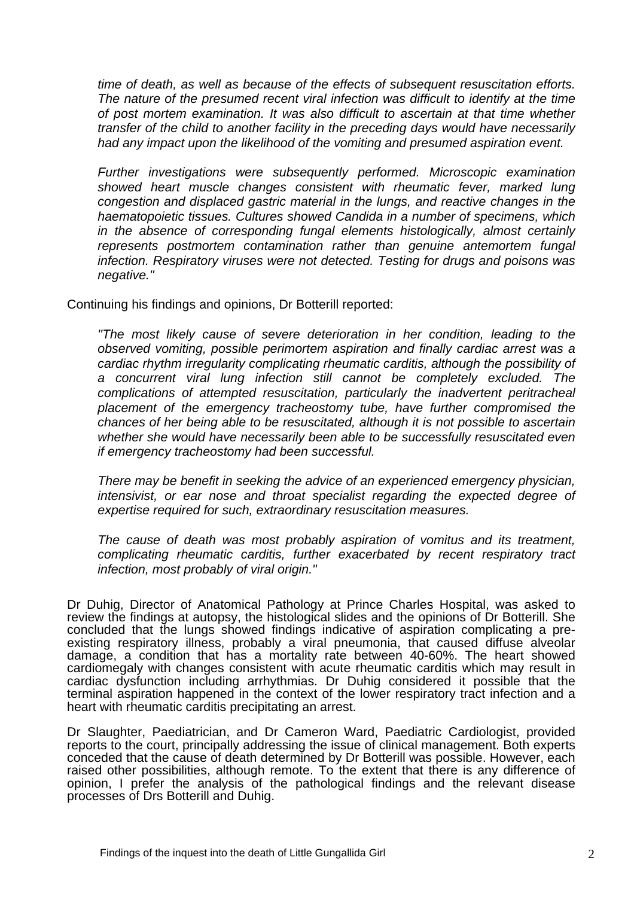*time of death, as well as because of the effects of subsequent resuscitation efforts. The nature of the presumed recent viral infection was difficult to identify at the time of post mortem examination. It was also difficult to ascertain at that time whether transfer of the child to another facility in the preceding days would have necessarily had any impact upon the likelihood of the vomiting and presumed aspiration event.* 

*Further investigations were subsequently performed. Microscopic examination showed heart muscle changes consistent with rheumatic fever, marked lung congestion and displaced gastric material in the lungs, and reactive changes in the haematopoietic tissues. Cultures showed Candida in a number of specimens, which in the absence of corresponding fungal elements histologically, almost certainly represents postmortem contamination rather than genuine antemortem fungal infection. Respiratory viruses were not detected. Testing for drugs and poisons was negative."* 

Continuing his findings and opinions, Dr Botterill reported:

*"The most likely cause of severe deterioration in her condition, leading to the observed vomiting, possible perimortem aspiration and finally cardiac arrest was a cardiac rhythm irregularity complicating rheumatic carditis, although the possibility of a concurrent viral lung infection still cannot be completely excluded. The complications of attempted resuscitation, particularly the inadvertent peritracheal placement of the emergency tracheostomy tube, have further compromised the chances of her being able to be resuscitated, although it is not possible to ascertain whether she would have necessarily been able to be successfully resuscitated even if emergency tracheostomy had been successful.* 

*There may be benefit in seeking the advice of an experienced emergency physician, intensivist, or ear nose and throat specialist regarding the expected degree of expertise required for such, extraordinary resuscitation measures.* 

*The cause of death was most probably aspiration of vomitus and its treatment, complicating rheumatic carditis, further exacerbated by recent respiratory tract infection, most probably of viral origin."* 

Dr Duhig, Director of Anatomical Pathology at Prince Charles Hospital, was asked to review the findings at autopsy, the histological slides and the opinions of Dr Botterill. She concluded that the lungs showed findings indicative of aspiration complicating a preexisting respiratory illness, probably a viral pneumonia, that caused diffuse alveolar damage, a condition that has a mortality rate between 40-60%. The heart showed cardiomegaly with changes consistent with acute rheumatic carditis which may result in cardiac dysfunction including arrhythmias. Dr Duhig considered it possible that the terminal aspiration happened in the context of the lower respiratory tract infection and a heart with rheumatic carditis precipitating an arrest.

Dr Slaughter, Paediatrician, and Dr Cameron Ward, Paediatric Cardiologist, provided reports to the court, principally addressing the issue of clinical management. Both experts conceded that the cause of death determined by Dr Botterill was possible. However, each raised other possibilities, although remote. To the extent that there is any difference of opinion, I prefer the analysis of the pathological findings and the relevant disease processes of Drs Botterill and Duhig.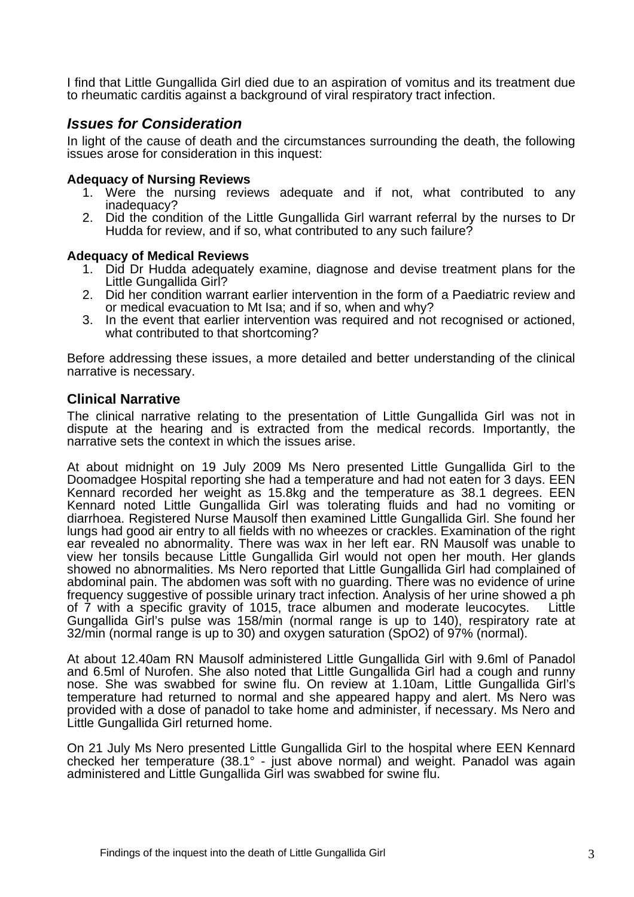I find that Little Gungallida Girl died due to an aspiration of vomitus and its treatment due to rheumatic carditis against a background of viral respiratory tract infection.

## *Issues for Consideration*

In light of the cause of death and the circumstances surrounding the death, the following issues arose for consideration in this inquest:

#### **Adequacy of Nursing Reviews**

- 1. Were the nursing reviews adequate and if not, what contributed to any inadequacy?
- 2. Did the condition of the Little Gungallida Girl warrant referral by the nurses to Dr Hudda for review, and if so, what contributed to any such failure?

#### **Adequacy of Medical Reviews**

- 1. Did Dr Hudda adequately examine, diagnose and devise treatment plans for the Little Gungallida Girl?
- 2. Did her condition warrant earlier intervention in the form of a Paediatric review and or medical evacuation to Mt Isa; and if so, when and why?
- 3. In the event that earlier intervention was required and not recognised or actioned, what contributed to that shortcoming?

Before addressing these issues, a more detailed and better understanding of the clinical narrative is necessary.

#### **Clinical Narrative**

The clinical narrative relating to the presentation of Little Gungallida Girl was not in dispute at the hearing and is extracted from the medical records. Importantly, the narrative sets the context in which the issues arise.

At about midnight on 19 July 2009 Ms Nero presented Little Gungallida Girl to the Doomadgee Hospital reporting she had a temperature and had not eaten for 3 days. EEN Kennard recorded her weight as 15.8kg and the temperature as 38.1 degrees. EEN Kennard noted Little Gungallida Girl was tolerating fluids and had no vomiting or diarrhoea. Registered Nurse Mausolf then examined Little Gungallida Girl. She found her lungs had good air entry to all fields with no wheezes or crackles. Examination of the right ear revealed no abnormality. There was wax in her left ear. RN Mausolf was unable to view her tonsils because Little Gungallida Girl would not open her mouth. Her glands showed no abnormalities. Ms Nero reported that Little Gungallida Girl had complained of abdominal pain. The abdomen was soft with no guarding. There was no evidence of urine frequency suggestive of possible urinary tract infection. Analysis of her urine showed a ph of 7 with a specific gravity of 1015, trace albumen and moderate leucocytes. Little Gungallida Girl's pulse was 158/min (normal range is up to 140), respiratory rate at 32/min (normal range is up to 30) and oxygen saturation (SpO2) of 97% (normal).

At about 12.40am RN Mausolf administered Little Gungallida Girl with 9.6ml of Panadol and 6.5ml of Nurofen. She also noted that Little Gungallida Girl had a cough and runny nose. She was swabbed for swine flu. On review at 1.10am, Little Gungallida Girl's temperature had returned to normal and she appeared happy and alert. Ms Nero was provided with a dose of panadol to take home and administer, if necessary. Ms Nero and Little Gungallida Girl returned home.

On 21 July Ms Nero presented Little Gungallida Girl to the hospital where EEN Kennard checked her temperature (38.1° - just above normal) and weight. Panadol was again administered and Little Gungallida Girl was swabbed for swine flu.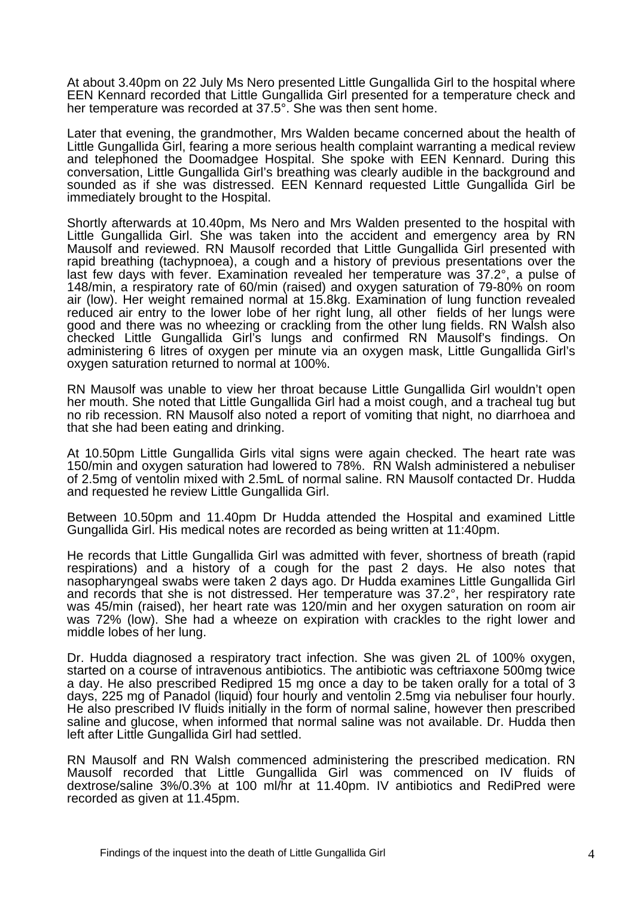At about 3.40pm on 22 July Ms Nero presented Little Gungallida Girl to the hospital where EEN Kennard recorded that Little Gungallida Girl presented for a temperature check and her temperature was recorded at 37.5°. She was then sent home.

Later that evening, the grandmother, Mrs Walden became concerned about the health of Little Gungallida Girl, fearing a more serious health complaint warranting a medical review and telephoned the Doomadgee Hospital. She spoke with EEN Kennard. During this conversation, Little Gungallida Girl's breathing was clearly audible in the background and sounded as if she was distressed. EEN Kennard requested Little Gungallida Girl be immediately brought to the Hospital.

Shortly afterwards at 10.40pm, Ms Nero and Mrs Walden presented to the hospital with Little Gungallida Girl. She was taken into the accident and emergency area by RN Mausolf and reviewed. RN Mausolf recorded that Little Gungallida Girl presented with rapid breathing (tachypnoea), a cough and a history of previous presentations over the last few days with fever. Examination revealed her temperature was 37.2°, a pulse of 148/min, a respiratory rate of 60/min (raised) and oxygen saturation of 79-80% on room air (low). Her weight remained normal at 15.8kg. Examination of lung function revealed reduced air entry to the lower lobe of her right lung, all other fields of her lungs were good and there was no wheezing or crackling from the other lung fields. RN Walsh also checked Little Gungallida Girl's lungs and confirmed RN Mausolf's findings. On administering 6 litres of oxygen per minute via an oxygen mask, Little Gungallida Girl's oxygen saturation returned to normal at 100%.

RN Mausolf was unable to view her throat because Little Gungallida Girl wouldn't open her mouth. She noted that Little Gungallida Girl had a moist cough, and a tracheal tug but no rib recession. RN Mausolf also noted a report of vomiting that night, no diarrhoea and that she had been eating and drinking.

At 10.50pm Little Gungallida Girls vital signs were again checked. The heart rate was 150/min and oxygen saturation had lowered to 78%. RN Walsh administered a nebuliser of 2.5mg of ventolin mixed with 2.5mL of normal saline. RN Mausolf contacted Dr. Hudda and requested he review Little Gungallida Girl.

Between 10.50pm and 11.40pm Dr Hudda attended the Hospital and examined Little Gungallida Girl. His medical notes are recorded as being written at 11:40pm.

He records that Little Gungallida Girl was admitted with fever, shortness of breath (rapid respirations) and a history of a cough for the past 2 days. He also notes that nasopharyngeal swabs were taken 2 days ago. Dr Hudda examines Little Gungallida Girl and records that she is not distressed. Her temperature was 37.2°, her respiratory rate was 45/min (raised), her heart rate was 120/min and her oxygen saturation on room air was 72% (low). She had a wheeze on expiration with crackles to the right lower and middle lobes of her lung.

Dr. Hudda diagnosed a respiratory tract infection. She was given 2L of 100% oxygen, started on a course of intravenous antibiotics. The antibiotic was ceftriaxone 500mg twice a day. He also prescribed Redipred 15 mg once a day to be taken orally for a total of 3 days, 225 mg of Panadol (liquid) four hourly and ventolin 2.5mg via nebuliser four hourly. He also prescribed IV fluids initially in the form of normal saline, however then prescribed saline and glucose, when informed that normal saline was not available. Dr. Hudda then left after Little Gungallida Girl had settled.

RN Mausolf and RN Walsh commenced administering the prescribed medication. RN Mausolf recorded that Little Gungallida Girl was commenced on IV fluids of dextrose/saline 3%/0.3% at 100 ml/hr at 11.40pm. IV antibiotics and RediPred were recorded as given at 11.45pm.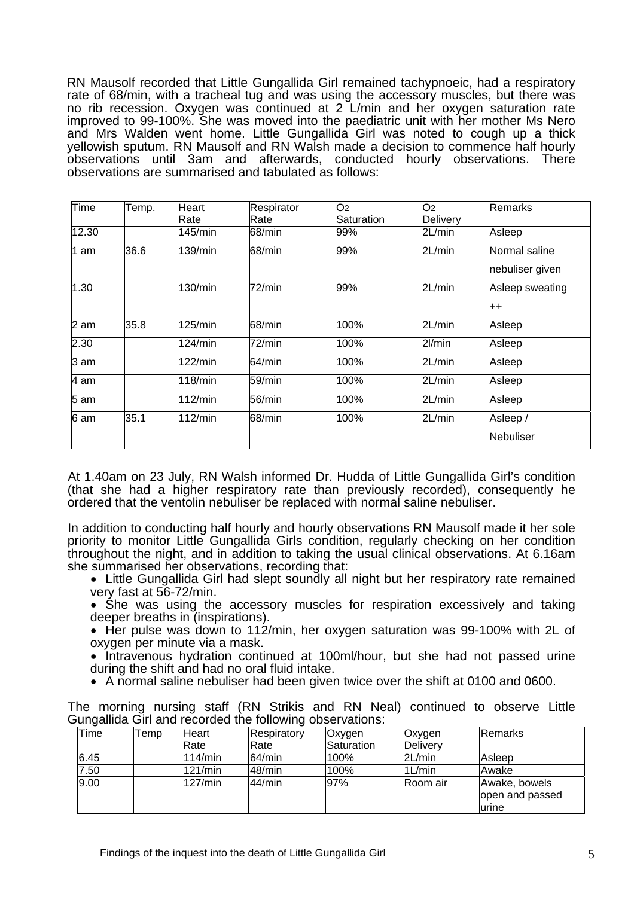RN Mausolf recorded that Little Gungallida Girl remained tachypnoeic, had a respiratory rate of 68/min, with a tracheal tug and was using the accessory muscles, but there was no rib recession. Oxygen was continued at 2 L/min and her oxygen saturation rate improved to 99-100%. She was moved into the paediatric unit with her mother Ms Nero and Mrs Walden went home. Little Gungallida Girl was noted to cough up a thick yellowish sputum. RN Mausolf and RN Walsh made a decision to commence half hourly observations until 3am and afterwards, conducted hourly observations. There observations are summarised and tabulated as follows:

| Time  | Temp. | Heart   | Respirator | O <sub>2</sub> | O <sub>2</sub> | Remarks         |
|-------|-------|---------|------------|----------------|----------------|-----------------|
|       |       | Rate    | Rate       | Saturation     | Delivery       |                 |
| 12.30 |       | 145/min | 68/min     | 99%            | 2L/min         | Asleep          |
| 1 am  | 36.6  | 139/min | 68/min     | 99%            | 2L/min         | Normal saline   |
|       |       |         |            |                |                | nebuliser given |
| 1.30  |       | 130/min | 72/min     | 99%            | 2L/min         | Asleep sweating |
|       |       |         |            |                |                | $^{\mathrm{+}}$ |
| 2 am  | 35.8  | 125/min | 68/min     | 100%           | 2L/min         | Asleep          |
| 2.30  |       | 124/min | 72/min     | 100%           | 2l/min         | Asleep          |
| 3 am  |       | 122/min | 64/min     | 100%           | 2L/min         | Asleep          |
| 4 am  |       | 118/min | 59/min     | 100%           | 2L/min         | Asleep          |
| 5 am  |       | 112/min | 56/min     | 100%           | 2L/min         | Asleep          |
| 6 am  | 35.1  | 112/min | 68/min     | 100%           | 2L/min         | Asleep /        |
|       |       |         |            |                |                | Nebuliser       |

At 1.40am on 23 July, RN Walsh informed Dr. Hudda of Little Gungallida Girl's condition (that she had a higher respiratory rate than previously recorded), consequently he ordered that the ventolin nebuliser be replaced with normal saline nebuliser.

In addition to conducting half hourly and hourly observations RN Mausolf made it her sole priority to monitor Little Gungallida Girls condition, regularly checking on her condition throughout the night, and in addition to taking the usual clinical observations. At 6.16am<br>she summarised her observations, recording that:

- Little Gungallida Girl had slept soundly all night but her respiratory rate remained very fast at 56-72/min.
- She was using the accessory muscles for respiration excessively and taking deeper breaths in (inspirations).
- Her pulse was down to 112/min, her oxygen saturation was 99-100% with 2L of oxygen per minute via a mask.
- Intravenous hydration continued at 100ml/hour, but she had not passed urine during the shift and had no oral fluid intake.
- A normal saline nebuliser had been given twice over the shift at 0100 and 0600.

The morning nursing staff (RN Strikis and RN Neal) continued to observe Little Gungallida Girl and recorded the following observations:

| ັ<br>Time | Temp | <b>Heart</b> | $\overline{\phantom{0}}$<br>Respiratory | <b>Oxygen</b> | Oxygen    | Remarks                          |
|-----------|------|--------------|-----------------------------------------|---------------|-----------|----------------------------------|
|           |      | Rate         | Rate                                    | Saturation    | Delivery  |                                  |
| 6.45      |      | 114/min      | 64/min                                  | 100%          | 2L/min    | Asleep                           |
| 7.50      |      | 121/min      | 48/min                                  | 100%          | $1$ L/min | Awake                            |
| 9.00      |      | 127/min      | 44/min                                  | 97%           | ∣Room air | Awake, bowels<br>open and passed |
|           |      |              |                                         |               |           | lurine                           |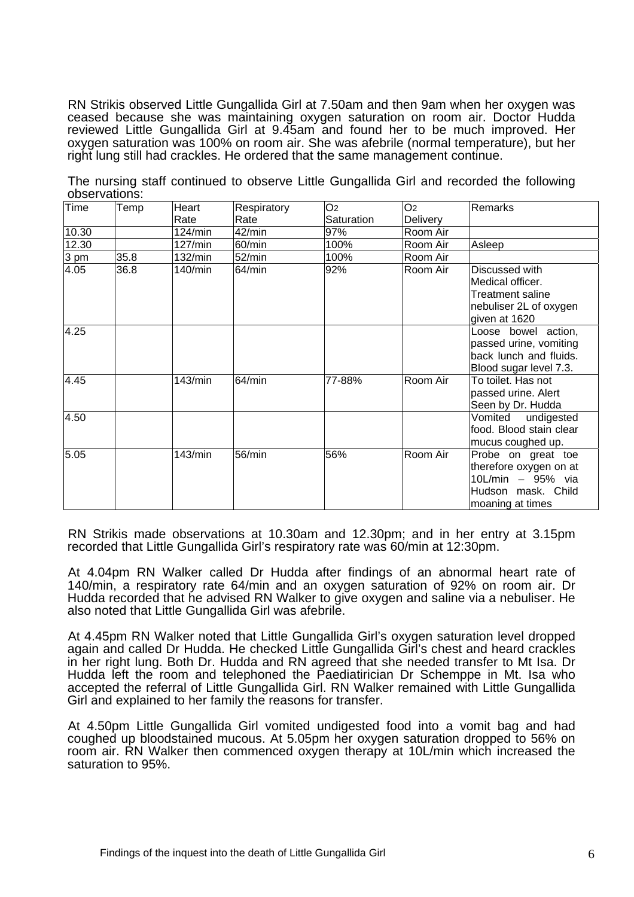RN Strikis observed Little Gungallida Girl at 7.50am and then 9am when her oxygen was ceased because she was maintaining oxygen saturation on room air. Doctor Hudda reviewed Little Gungallida Girl at 9.45am and found her to be much improved. Her oxygen saturation was 100% on room air. She was afebrile (normal temperature), but her right lung still had crackles. He ordered that the same management continue.

Temp Heart Rate **Respiratory** Rate  $\overline{O2}$ **Saturation**  $O<sub>2</sub>$ **Delivery** Remarks 10.30 124/min 42/min 97% Room Air 12.30 127/min 60/min 100% Room Air Asleep 3 pm 35.8 132/min 52/min 100% Room Air 4.05 36.8 140/min 64/min 92% Room Air Discussed with Medical officer. Treatment saline nebuliser 2L of oxygen given at 1620 4.25 Loose bowel action, passed urine, vomiting back lunch and fluids. Blood sugar level 7.3. 4.45 143/min 64/min 77-88% Room Air To toilet. Has not passed urine. Alert Seen by Dr. Hudda 4.50 Vomited undigested food. Blood stain clear mucus coughed up. 5.05 143/min 56/min 56% Room Air Probe on great toe therefore oxygen on at 10L/min – 95% via Hudson mask. Child moaning at times

The nursing staff continued to observe Little Gungallida Girl and recorded the following observations:<br>Time Temp

RN Strikis made observations at 10.30am and 12.30pm; and in her entry at 3.15pm recorded that Little Gungallida Girl's respiratory rate was 60/min at 12:30pm.

At 4.04pm RN Walker called Dr Hudda after findings of an abnormal heart rate of 140/min, a respiratory rate 64/min and an oxygen saturation of 92% on room air. Dr Hudda recorded that he advised RN Walker to give oxygen and saline via a nebuliser. He also noted that Little Gungallida Girl was afebrile.

At 4.45pm RN Walker noted that Little Gungallida Girl's oxygen saturation level dropped again and called Dr Hudda. He checked Little Gungallida Girl's chest and heard crackles in her right lung. Both Dr. Hudda and RN agreed that she needed transfer to Mt Isa. Dr Hudda left the room and telephoned the Paediatirician Dr Schemppe in Mt. Isa who accepted the referral of Little Gungallida Girl. RN Walker remained with Little Gungallida Girl and explained to her family the reasons for transfer.

At 4.50pm Little Gungallida Girl vomited undigested food into a vomit bag and had coughed up bloodstained mucous. At 5.05pm her oxygen saturation dropped to 56% on room air. RN Walker then commenced oxygen therapy at 10L/min which increased the saturation to 95%.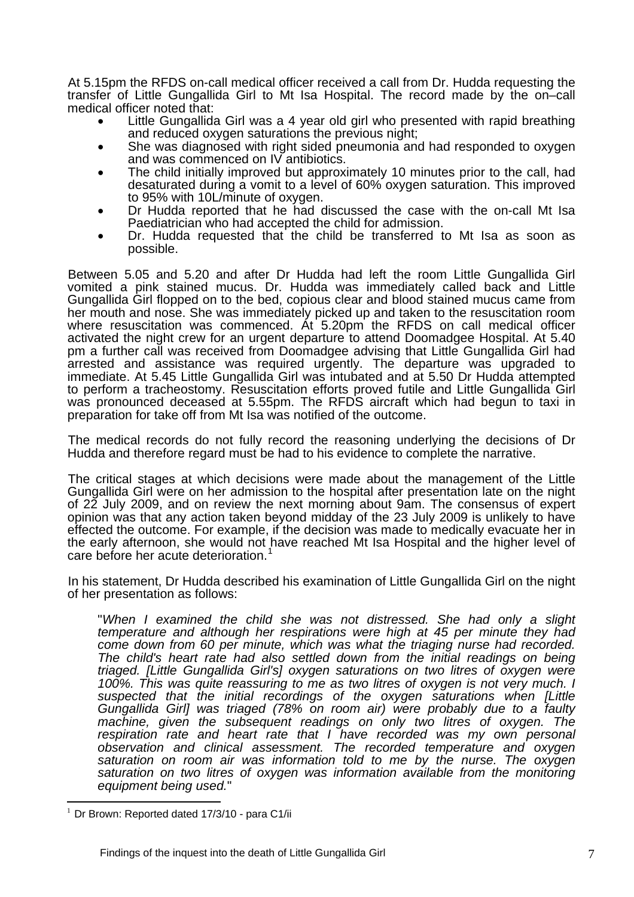At 5.15pm the RFDS on-call medical officer received a call from Dr. Hudda requesting the transfer of Little Gungallida Girl to Mt Isa Hospital. The record made by the on–call

- medical officer noted that:<br>• Little Gungallida Girl was a 4 year old girl who presented with rapid breathing
	- and reduced oxygen saturations the previous night;<br>She was diagnosed with right sided pneumonia and had responded to oxygen<br>and was commenced on IV antibiotics.
	- The child initially improved but approximately 10 minutes prior to the call, had desaturated during a vomit to a level of 60% oxygen saturation. This improved to 95% with 10L/minute of oxygen.
	- Dr Hudda reported that he had discussed the case with the on-call Mt Isa
	- Paediatrician who had accepted the child for admission.<br>Dr. Hudda requested that the child be transferred to Mt Isa as soon as possible.

Between 5.05 and 5.20 and after Dr Hudda had left the room Little Gungallida Girl vomited a pink stained mucus. Dr. Hudda was immediately called back and Little Gungallida Girl flopped on to the bed, copious clear and blood stained mucus came from her mouth and nose. She was immediately picked up and taken to the resuscitation room where resuscitation was commenced. At 5.20pm the RFDS on call medical officer activated the night crew for an urgent departure to attend Doomadgee Hospital. At 5.40 pm a further call was received from Doomadgee advising that Little Gungallida Girl had arrested and assistance was required urgently. The departure was upgraded to immediate. At 5.45 Little Gungallida Girl was intubated and at 5.50 Dr Hudda attempted to perform a tracheostomy. Resuscitation efforts proved futile and Little Gungallida Girl was pronounced deceased at 5.55pm. The RFDS aircraft which had begun to taxi in preparation for take off from Mt Isa was notified of the outcome.

The medical records do not fully record the reasoning underlying the decisions of Dr Hudda and therefore regard must be had to his evidence to complete the narrative.

The critical stages at which decisions were made about the management of the Little Gungallida Girl were on her admission to the hospital after presentation late on the night of 22 July 2009, and on review the next morning about 9am. The consensus of expert opinion was that any action taken beyond midday of the 23 July 2009 is unlikely to have effected the outcome. For example, if the decision was made to medically evacuate her in the early afternoon, she would not have reached Mt Isa Hospital and the higher level of care before her acute deterioration.<sup>[1](#page-7-0)</sup>

In his statement, Dr Hudda described his examination of Little Gungallida Girl on the night of her presentation as follows:

"*When I examined the child she was not distressed. She had only a slight temperature and although her respirations were high at 45 per minute they had come down from 60 per minute, which was what the triaging nurse had recorded. The child's heart rate had also settled down from the initial readings on being triaged. [Little Gungallida Girl's] oxygen saturations on two litres of oxygen were 100%. This was quite reassuring to me as two litres of oxygen is not very much. I suspected that the initial recordings of the oxygen saturations when [Little Gungallida Girl] was triaged (78% on room air) were probably due to a faulty machine, given the subsequent readings on only two litres of oxygen. The*  respiration rate and heart rate that I have recorded was my own personal *observation and clinical assessment. The recorded temperature and oxygen saturation on room air was information told to me by the nurse. The oxygen saturation on two litres of oxygen was information available from the monitoring equipment being used.*"

 $\overline{a}$ 

<span id="page-7-0"></span> $1$  Dr Brown: Reported dated 17/3/10 - para C1/ii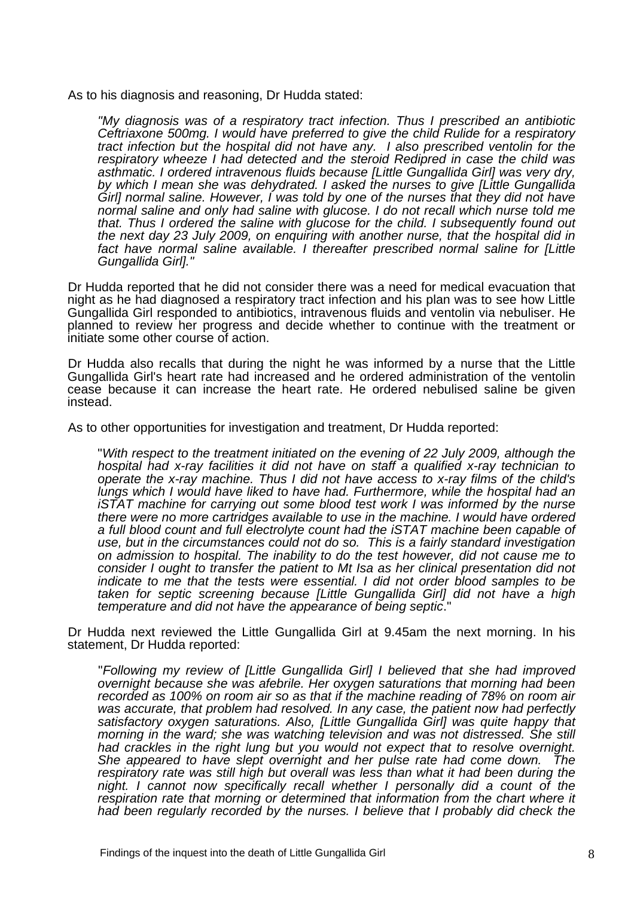As to his diagnosis and reasoning, Dr Hudda stated:

*"My diagnosis was of a respiratory tract infection. Thus I prescribed an antibiotic Ceftriaxone 500mg. I would have preferred to give the child Rulide for a respiratory tract infection but the hospital did not have any. I also prescribed ventolin for the respiratory wheeze I had detected and the steroid Redipred in case the child was asthmatic. I ordered intravenous fluids because [Little Gungallida Girl] was very dry, by which I mean she was dehydrated. I asked the nurses to give [Little Gungallida Girl] normal saline. However, I was told by one of the nurses that they did not have normal saline and only had saline with glucose. I do not recall which nurse told me that. Thus I ordered the saline with glucose for the child. I subsequently found out the next day 23 July 2009, on enquiring with another nurse, that the hospital did in*  fact have normal saline available. I thereafter prescribed normal saline for [Little *Gungallida Girl]."* 

Dr Hudda reported that he did not consider there was a need for medical evacuation that night as he had diagnosed a respiratory tract infection and his plan was to see how Little Gungallida Girl responded to antibiotics, intravenous fluids and ventolin via nebuliser. He planned to review her progress and decide whether to continue with the treatment or initiate some other course of action.

Dr Hudda also recalls that during the night he was informed by a nurse that the Little Gungallida Girl's heart rate had increased and he ordered administration of the ventolin cease because it can increase the heart rate. He ordered nebulised saline be given instead.

As to other opportunities for investigation and treatment, Dr Hudda reported:

"*With respect to the treatment initiated on the evening of 22 July 2009, although the hospital had x-ray facilities it did not have on staff a qualified x-ray technician to operate the x-ray machine. Thus I did not have access to x-ray films of the child's lungs which I would have liked to have had. Furthermore, while the hospital had an iSTAT machine for carrying out some blood test work I was informed by the nurse there were no more cartridges available to use in the machine. I would have ordered a full blood count and full electrolyte count had the iSTAT machine been capable of use, but in the circumstances could not do so. This is a fairly standard investigation on admission to hospital. The inability to do the test however, did not cause me to consider I ought to transfer the patient to Mt Isa as her clinical presentation did not indicate to me that the tests were essential. I did not order blood samples to be taken for septic screening because [Little Gungallida Girl] did not have a high temperature and did not have the appearance of being septic*."

Dr Hudda next reviewed the Little Gungallida Girl at 9.45am the next morning. In his statement, Dr Hudda reported:

"*Following my review of [Little Gungallida Girl] I believed that she had improved overnight because she was afebrile. Her oxygen saturations that morning had been recorded as 100% on room air so as that if the machine reading of 78% on room air was accurate, that problem had resolved. In any case, the patient now had perfectly satisfactory oxygen saturations. Also, [Little Gungallida Girl] was quite happy that morning in the ward; she was watching television and was not distressed. She still had crackles in the right lung but you would not expect that to resolve overnight. She appeared to have slept overnight and her pulse rate had come down. The respiratory rate was still high but overall was less than what it had been during the night. I cannot now specifically recall whether I personally did a count of the respiration rate that morning or determined that information from the chart where it had been regularly recorded by the nurses. I believe that I probably did check the*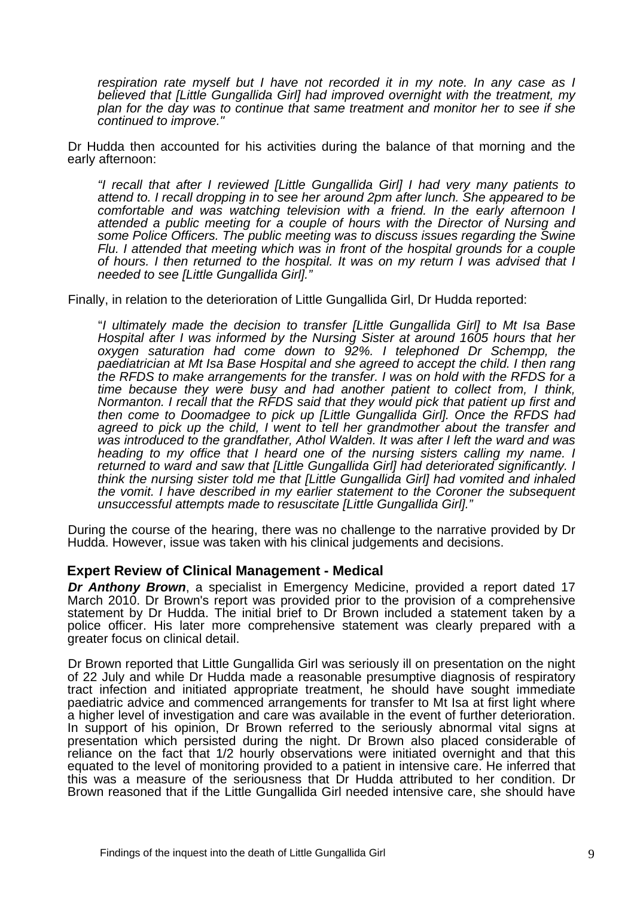*respiration rate myself but I have not recorded it in my note. In any case as I believed that [Little Gungallida Girl] had improved overnight with the treatment, my plan for the day was to continue that same treatment and monitor her to see if she continued to improve."*

Dr Hudda then accounted for his activities during the balance of that morning and the early afternoon:

*"I recall that after I reviewed [Little Gungallida Girl] I had very many patients to attend to. I recall dropping in to see her around 2pm after lunch. She appeared to be comfortable and was watching television with a friend. In the early afternoon I attended a public meeting for a couple of hours with the Director of Nursing and some Police Officers. The public meeting was to discuss issues regarding the Swine Flu. I attended that meeting which was in front of the hospital grounds for a couple of hours. I then returned to the hospital. It was on my return I was advised that I needed to see [Little Gungallida Girl]."* 

Finally, in relation to the deterioration of Little Gungallida Girl, Dr Hudda reported:

"*I ultimately made the decision to transfer [Little Gungallida Girl] to Mt Isa Base Hospital after I was informed by the Nursing Sister at around 1605 hours that her oxygen saturation had come down to 92%. I telephoned Dr Schempp, the paediatrician at Mt Isa Base Hospital and she agreed to accept the child. I then rang the RFDS to make arrangements for the transfer. I was on hold with the RFDS for a time because they were busy and had another patient to collect from, I think, Normanton. I recall that the RFDS said that they would pick that patient up first and then come to Doomadgee to pick up [Little Gungallida Girl]. Once the RFDS had agreed to pick up the child, I went to tell her grandmother about the transfer and was introduced to the grandfather, Athol Walden. It was after I left the ward and was heading to my office that I heard one of the nursing sisters calling my name. I returned to ward and saw that [Little Gungallida Girl] had deteriorated significantly. I think the nursing sister told me that [Little Gungallida Girl] had vomited and inhaled the vomit. I have described in my earlier statement to the Coroner the subsequent unsuccessful attempts made to resuscitate [Little Gungallida Girl]."*

During the course of the hearing, there was no challenge to the narrative provided by Dr Hudda. However, issue was taken with his clinical judgements and decisions.

#### **Expert Review of Clinical Management - Medical**

*Dr Anthony Brown*, a specialist in Emergency Medicine, provided a report dated 17 March 2010. Dr Brown's report was provided prior to the provision of a comprehensive statement by Dr Hudda. The initial brief to Dr Brown included a statement taken by a police officer. His later more comprehensive statement was clearly prepared with a greater focus on clinical detail.

Dr Brown reported that Little Gungallida Girl was seriously ill on presentation on the night of 22 July and while Dr Hudda made a reasonable presumptive diagnosis of respiratory tract infection and initiated appropriate treatment, he should have sought immediate paediatric advice and commenced arrangements for transfer to Mt Isa at first light where a higher level of investigation and care was available in the event of further deterioration. In support of his opinion, Dr Brown referred to the seriously abnormal vital signs at presentation which persisted during the night. Dr Brown also placed considerable of reliance on the fact that 1/2 hourly observations were initiated overnight and that this equated to the level of monitoring provided to a patient in intensive care. He inferred that this was a measure of the seriousness that Dr Hudda attributed to her condition. Dr Brown reasoned that if the Little Gungallida Girl needed intensive care, she should have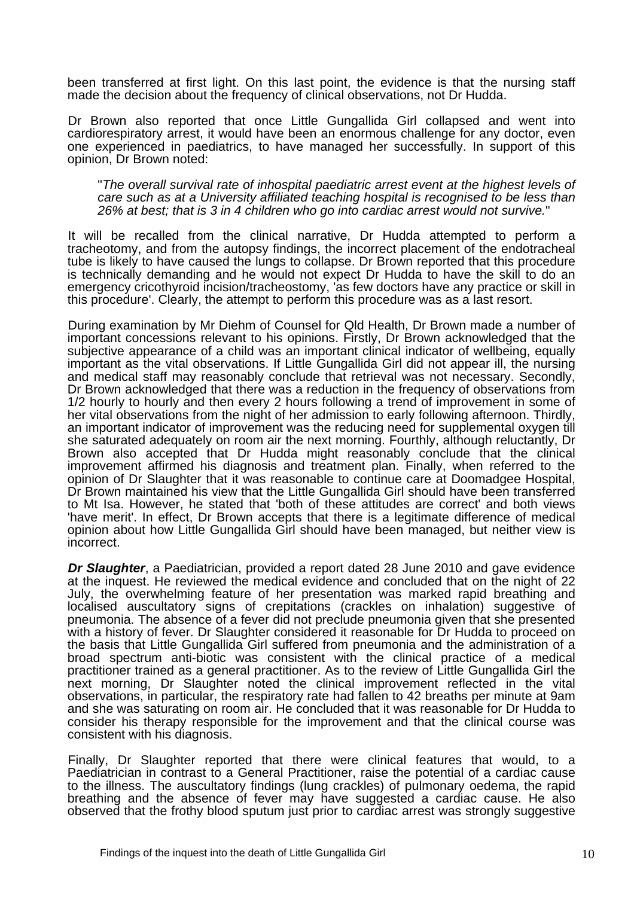been transferred at first light. On this last point, the evidence is that the nursing staff made the decision about the frequency of clinical observations, not Dr Hudda.

Dr Brown also reported that once Little Gungallida Girl collapsed and went into cardiorespiratory arrest, it would have been an enormous challenge for any doctor, even one experienced in paediatrics, to have managed her successfully. In support of this opinion, Dr Brown noted:

"*The overall survival rate of inhospital paediatric arrest event at the highest levels of care such as at a University affiliated teaching hospital is recognised to be less than 26% at best; that is 3 in 4 children who go into cardiac arrest would not survive.*"

It will be recalled from the clinical narrative, Dr Hudda attempted to perform a tracheotomy, and from the autopsy findings, the incorrect placement of the endotracheal tube is likely to have caused the lungs to collapse. Dr Brown reported that this procedure is technically demanding and he would not expect Dr Hudda to have the skill to do an emergency cricothyroid incision/tracheostomy, 'as few doctors have any practice or skill in this procedure'. Clearly, the attempt to perform this procedure was as a last resort.

During examination by Mr Diehm of Counsel for Qld Health, Dr Brown made a number of important concessions relevant to his opinions. Firstly, Dr Brown acknowledged that the subjective appearance of a child was an important clinical indicator of wellbeing, equally important as the vital observations. If Little Gungallida Girl did not appear ill, the nursing and medical staff may reasonably conclude that retrieval was not necessary. Secondly, Dr Brown acknowledged that there was a reduction in the frequency of observations from 1/2 hourly to hourly and then every 2 hours following a trend of improvement in some of her vital observations from the night of her admission to early following afternoon. Thirdly, an important indicator of improvement was the reducing need for supplemental oxygen till she saturated adequately on room air the next morning. Fourthly, although reluctantly, Dr Brown also accepted that Dr Hudda might reasonably conclude that the clinical improvement affirmed his diagnosis and treatment plan. Finally, when referred to the opinion of Dr Slaughter that it was reasonable to continue care at Doomadgee Hospital, Dr Brown maintained his view that the Little Gungallida Girl should have been transferred to Mt Isa. However, he stated that 'both of these attitudes are correct' and both views 'have merit'. In effect, Dr Brown accepts that there is a legitimate difference of medical opinion about how Little Gungallida Girl should have been managed, but neither view is incorrect.

*Dr Slaughter*, a Paediatrician, provided a report dated 28 June 2010 and gave evidence at the inquest. He reviewed the medical evidence and concluded that on the night of 22 July, the overwhelming feature of her presentation was marked rapid breathing and localised auscultatory signs of crepitations (crackles on inhalation) suggestive of pneumonia. The absence of a fever did not preclude pneumonia given that she presented with a history of fever. Dr Slaughter considered it reasonable for Dr Hudda to proceed on the basis that Little Gungallida Girl suffered from pneumonia and the administration of a broad spectrum anti-biotic was consistent with the clinical practice of a medical practitioner trained as a general practitioner. As to the review of Little Gungallida Girl the next morning, Dr Slaughter noted the clinical improvement reflected in the vital observations, in particular, the respiratory rate had fallen to 42 breaths per minute at 9am and she was saturating on room air. He concluded that it was reasonable for Dr Hudda to consider his therapy responsible for the improvement and that the clinical course was consistent with his diagnosis.

Finally, Dr Slaughter reported that there were clinical features that would, to a Paediatrician in contrast to a General Practitioner, raise the potential of a cardiac cause to the illness. The auscultatory findings (lung crackles) of pulmonary oedema, the rapid breathing and the absence of fever may have suggested a cardiac cause. He also observed that the frothy blood sputum just prior to cardiac arrest was strongly suggestive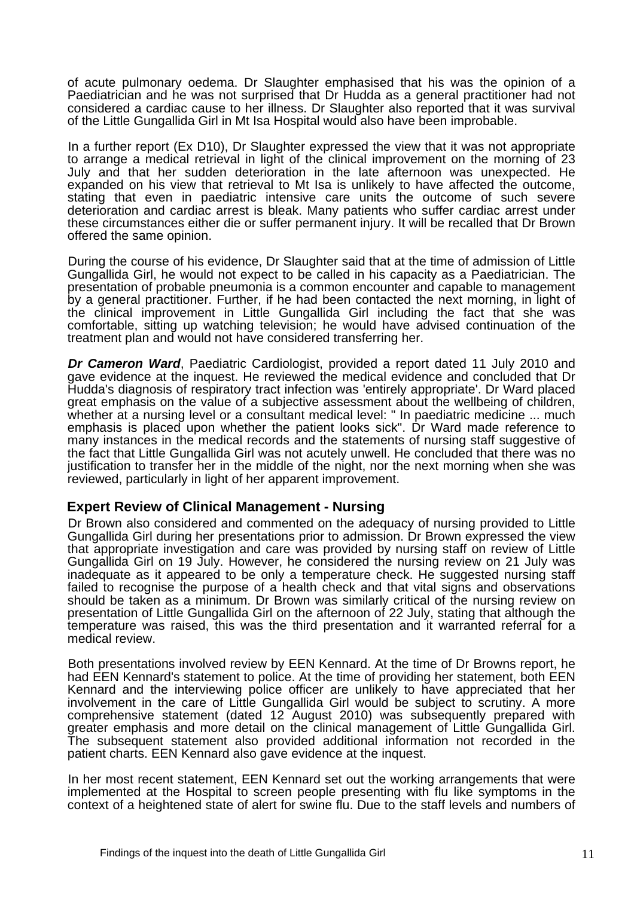of acute pulmonary oedema. Dr Slaughter emphasised that his was the opinion of a Paediatrician and he was not surprised that Dr Hudda as a general practitioner had not considered a cardiac cause to her illness. Dr Slaughter also reported that it was survival of the Little Gungallida Girl in Mt Isa Hospital would also have been improbable.

In a further report (Ex D10), Dr Slaughter expressed the view that it was not appropriate to arrange a medical retrieval in light of the clinical improvement on the morning of 23 July and that her sudden deterioration in the late afternoon was unexpected. He expanded on his view that retrieval to Mt Isa is unlikely to have affected the outcome, stating that even in paediatric intensive care units the outcome of such severe deterioration and cardiac arrest is bleak. Many patients who suffer cardiac arrest under these circumstances either die or suffer permanent injury. It will be recalled that Dr Brown offered the same opinion.

During the course of his evidence, Dr Slaughter said that at the time of admission of Little Gungallida Girl, he would not expect to be called in his capacity as a Paediatrician. The presentation of probable pneumonia is a common encounter and capable to management by a general practitioner. Further, if he had been contacted the next morning, in light of the clinical improvement in Little Gungallida Girl including the fact that she was comfortable, sitting up watching television; he would have advised continuation of the treatment plan and would not have considered transferring her.

*Dr Cameron Ward*, Paediatric Cardiologist, provided a report dated 11 July 2010 and gave evidence at the inquest. He reviewed the medical evidence and concluded that Dr Hudda's diagnosis of respiratory tract infection was 'entirely appropriate'. Dr Ward placed great emphasis on the value of a subjective assessment about the wellbeing of children, whether at a nursing level or a consultant medical level: " In paediatric medicine ... much emphasis is placed upon whether the patient looks sick". Dr Ward made reference to many instances in the medical records and the statements of nursing staff suggestive of the fact that Little Gungallida Girl was not acutely unwell. He concluded that there was no justification to transfer her in the middle of the night, nor the next morning when she was reviewed, particularly in light of her apparent improvement.

#### **Expert Review of Clinical Management - Nursing**

Dr Brown also considered and commented on the adequacy of nursing provided to Little Gungallida Girl during her presentations prior to admission. Dr Brown expressed the view that appropriate investigation and care was provided by nursing staff on review of Little Gungallida Girl on 19 July. However, he considered the nursing review on 21 July was inadequate as it appeared to be only a temperature check. He suggested nursing staff failed to recognise the purpose of a health check and that vital signs and observations should be taken as a minimum. Dr Brown was similarly critical of the nursing review on presentation of Little Gungallida Girl on the afternoon of 22 July, stating that although the temperature was raised, this was the third presentation and it warranted referral for a medical review.

Both presentations involved review by EEN Kennard. At the time of Dr Browns report, he had EEN Kennard's statement to police. At the time of providing her statement, both EEN Kennard and the interviewing police officer are unlikely to have appreciated that her involvement in the care of Little Gungallida Girl would be subject to scrutiny. A more comprehensive statement (dated 12 August 2010) was subsequently prepared with greater emphasis and more detail on the clinical management of Little Gungallida Girl. The subsequent statement also provided additional information not recorded in the patient charts. EEN Kennard also gave evidence at the inquest.

In her most recent statement, EEN Kennard set out the working arrangements that were implemented at the Hospital to screen people presenting with flu like symptoms in the context of a heightened state of alert for swine flu. Due to the staff levels and numbers of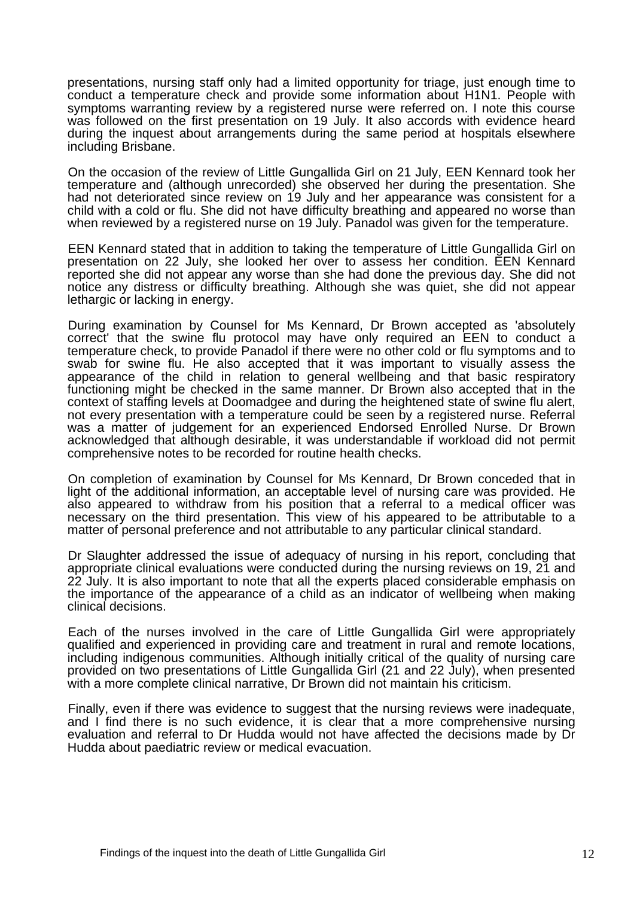presentations, nursing staff only had a limited opportunity for triage, just enough time to conduct a temperature check and provide some information about H1N1. People with symptoms warranting review by a registered nurse were referred on. I note this course was followed on the first presentation on 19 July. It also accords with evidence heard during the inquest about arrangements during the same period at hospitals elsewhere including Brisbane.

On the occasion of the review of Little Gungallida Girl on 21 July, EEN Kennard took her temperature and (although unrecorded) she observed her during the presentation. She had not deteriorated since review on 19 July and her appearance was consistent for a child with a cold or flu. She did not have difficulty breathing and appeared no worse than when reviewed by a registered nurse on 19 July. Panadol was given for the temperature.

EEN Kennard stated that in addition to taking the temperature of Little Gungallida Girl on presentation on 22 July, she looked her over to assess her condition. EEN Kennard reported she did not appear any worse than she had done the previous day. She did not notice any distress or difficulty breathing. Although she was quiet, she did not appear lethargic or lacking in energy.

During examination by Counsel for Ms Kennard, Dr Brown accepted as 'absolutely correct' that the swine flu protocol may have only required an EEN to conduct a temperature check, to provide Panadol if there were no other cold or flu symptoms and to swab for swine flu. He also accepted that it was important to visually assess the appearance of the child in relation to general wellbeing and that basic respiratory functioning might be checked in the same manner. Dr Brown also accepted that in the context of staffing levels at Doomadgee and during the heightened state of swine flu alert, not every presentation with a temperature could be seen by a registered nurse. Referral was a matter of judgement for an experienced Endorsed Enrolled Nurse. Dr Brown acknowledged that although desirable, it was understandable if workload did not permit comprehensive notes to be recorded for routine health checks.

On completion of examination by Counsel for Ms Kennard, Dr Brown conceded that in light of the additional information, an acceptable level of nursing care was provided. He also appeared to withdraw from his position that a referral to a medical officer was necessary on the third presentation. This view of his appeared to be attributable to a matter of personal preference and not attributable to any particular clinical standard.

Dr Slaughter addressed the issue of adequacy of nursing in his report, concluding that appropriate clinical evaluations were conducted during the nursing reviews on 19, 21 and 22 July. It is also important to note that all the experts placed considerable emphasis on the importance of the appearance of a child as an indicator of wellbeing when making clinical decisions.

Each of the nurses involved in the care of Little Gungallida Girl were appropriately qualified and experienced in providing care and treatment in rural and remote locations, including indigenous communities. Although initially critical of the quality of nursing care provided on two presentations of Little Gungallida Girl (21 and 22 July), when presented with a more complete clinical narrative, Dr Brown did not maintain his criticism.

Finally, even if there was evidence to suggest that the nursing reviews were inadequate, and I find there is no such evidence, it is clear that a more comprehensive nursing evaluation and referral to Dr Hudda would not have affected the decisions made by Dr Hudda about paediatric review or medical evacuation.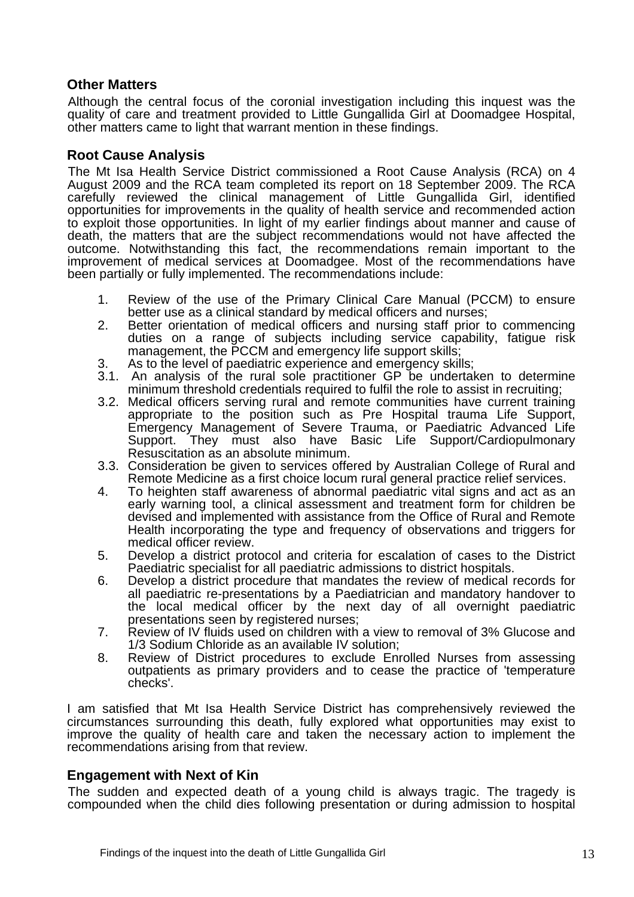## **Other Matters**

Although the central focus of the coronial investigation including this inquest was the quality of care and treatment provided to Little Gungallida Girl at Doomadgee Hospital, other matters came to light that warrant mention in these findings.

## **Root Cause Analysis**

The Mt Isa Health Service District commissioned a Root Cause Analysis (RCA) on 4 August 2009 and the RCA team completed its report on 18 September 2009. The RCA carefully reviewed the clinical management of Little Gungallida Girl, identified opportunities for improvements in the quality of health service and recommended action to exploit those opportunities. In light of my earlier findings about manner and cause of death, the matters that are the subject recommendations would not have affected the outcome. Notwithstanding this fact, the recommendations remain important to the improvement of medical services at Doomadgee. Most of the recommendations have been partially or fully implemented. The recommendations include:

- 1. Review of the use of the Primary Clinical Care Manual (PCCM) to ensure better use as a clinical standard by medical officers and nurses;
- 2. Better orientation of medical officers and nursing staff prior to commencing duties on a range of subjects including service capability, fatigue risk management, the PCCM and emergency life support skills;
- 3. As to the level of paediatric experience and emergency skills;
- 3.1. An analysis of the rural sole practitioner GP be undertaken to determine minimum threshold credentials required to fulfil the role to assist in recruiting;
- 3.2. Medical officers serving rural and remote communities have current training appropriate to the position such as Pre Hospital trauma Life Support, Emergency Management of Severe Trauma, or Paediatric Advanced Life Support. They must also have Basic Life Support/Cardiopulmonary Resuscitation as an absolute minimum.
- 3.3. Consideration be given to services offered by Australian College of Rural and Remote Medicine as a first choice locum rural general practice relief services.
- 4. To heighten staff awareness of abnormal paediatric vital signs and act as an early warning tool, a clinical assessment and treatment form for children be devised and implemented with assistance from the Office of Rural and Remote Health incorporating the type and frequency of observations and triggers for medical officer review.
- 5. Develop a district protocol and criteria for escalation of cases to the District Paediatric specialist for all paediatric admissions to district hospitals.
- 6. Develop a district procedure that mandates the review of medical records for all paediatric re-presentations by a Paediatrician and mandatory handover to the local medical officer by the next day of all overnight paediatric presentations seen by registered nurses;
- 7. Review of IV fluids used on children with a view to removal of 3% Glucose and 1/3 Sodium Chloride as an available IV solution;
- 8. Review of District procedures to exclude Enrolled Nurses from assessing outpatients as primary providers and to cease the practice of 'temperature checks'.

I am satisfied that Mt Isa Health Service District has comprehensively reviewed the circumstances surrounding this death, fully explored what opportunities may exist to improve the quality of health care and taken the necessary action to implement the recommendations arising from that review.

## **Engagement with Next of Kin**

The sudden and expected death of a young child is always tragic. The tragedy is compounded when the child dies following presentation or during admission to hospital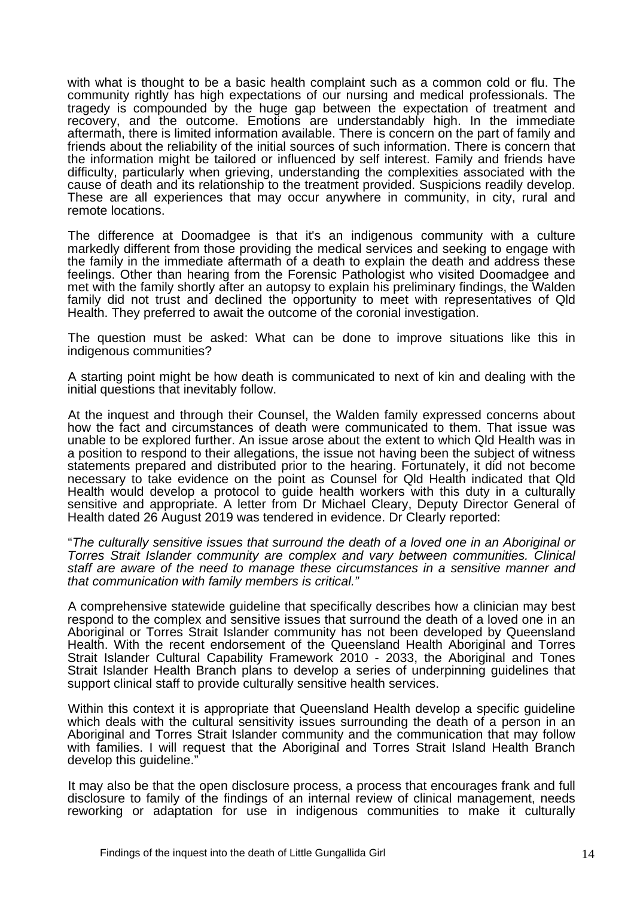with what is thought to be a basic health complaint such as a common cold or flu. The community rightly has high expectations of our nursing and medical professionals. The tragedy is compounded by the huge gap between the expectation of treatment and recovery, and the outcome. Emotions are understandably high. In the immediate aftermath, there is limited information available. There is concern on the part of family and friends about the reliability of the initial sources of such information. There is concern that the information might be tailored or influenced by self interest. Family and friends have difficulty, particularly when grieving, understanding the complexities associated with the cause of death and its relationship to the treatment provided. Suspicions readily develop. These are all experiences that may occur anywhere in community, in city, rural and remote locations.

The difference at Doomadgee is that it's an indigenous community with a culture markedly different from those providing the medical services and seeking to engage with the family in the immediate aftermath of a death to explain the death and address these feelings. Other than hearing from the Forensic Pathologist who visited Doomadgee and met with the family shortly after an autopsy to explain his preliminary findings, the Walden family did not trust and declined the opportunity to meet with representatives of Qld Health. They preferred to await the outcome of the coronial investigation.

The question must be asked: What can be done to improve situations like this in indigenous communities?

A starting point might be how death is communicated to next of kin and dealing with the initial questions that inevitably follow.

At the inquest and through their Counsel, the Walden family expressed concerns about how the fact and circumstances of death were communicated to them. That issue was unable to be explored further. An issue arose about the extent to which Qld Health was in a position to respond to their allegations, the issue not having been the subject of witness statements prepared and distributed prior to the hearing. Fortunately, it did not become necessary to take evidence on the point as Counsel for Qld Health indicated that Qld Health would develop a protocol to guide health workers with this duty in a culturally sensitive and appropriate. A letter from Dr Michael Cleary, Deputy Director General of Health dated 26 August 2019 was tendered in evidence. Dr Clearly reported:

"*The culturally sensitive issues that surround the death of a loved one in an Aboriginal or Torres Strait Islander community are complex and vary between communities. Clinical staff are aware of the need to manage these circumstances in a sensitive manner and that communication with family members is critical."*

A comprehensive statewide guideline that specifically describes how a clinician may best respond to the complex and sensitive issues that surround the death of a loved one in an Aboriginal or Torres Strait Islander community has not been developed by Queensland Health. With the recent endorsement of the Queensland Health Aboriginal and Torres Strait Islander Cultural Capability Framework 2010 - 2033, the Aboriginal and Tones Strait Islander Health Branch plans to develop a series of underpinning guidelines that support clinical staff to provide culturally sensitive health services.

Within this context it is appropriate that Queensland Health develop a specific guideline which deals with the cultural sensitivity issues surrounding the death of a person in an Aboriginal and Torres Strait Islander community and the communication that may follow with families. I will request that the Aboriginal and Torres Strait Island Health Branch develop this guideline."

It may also be that the open disclosure process, a process that encourages frank and full disclosure to family of the findings of an internal review of clinical management, needs reworking or adaptation for use in indigenous communities to make it culturally